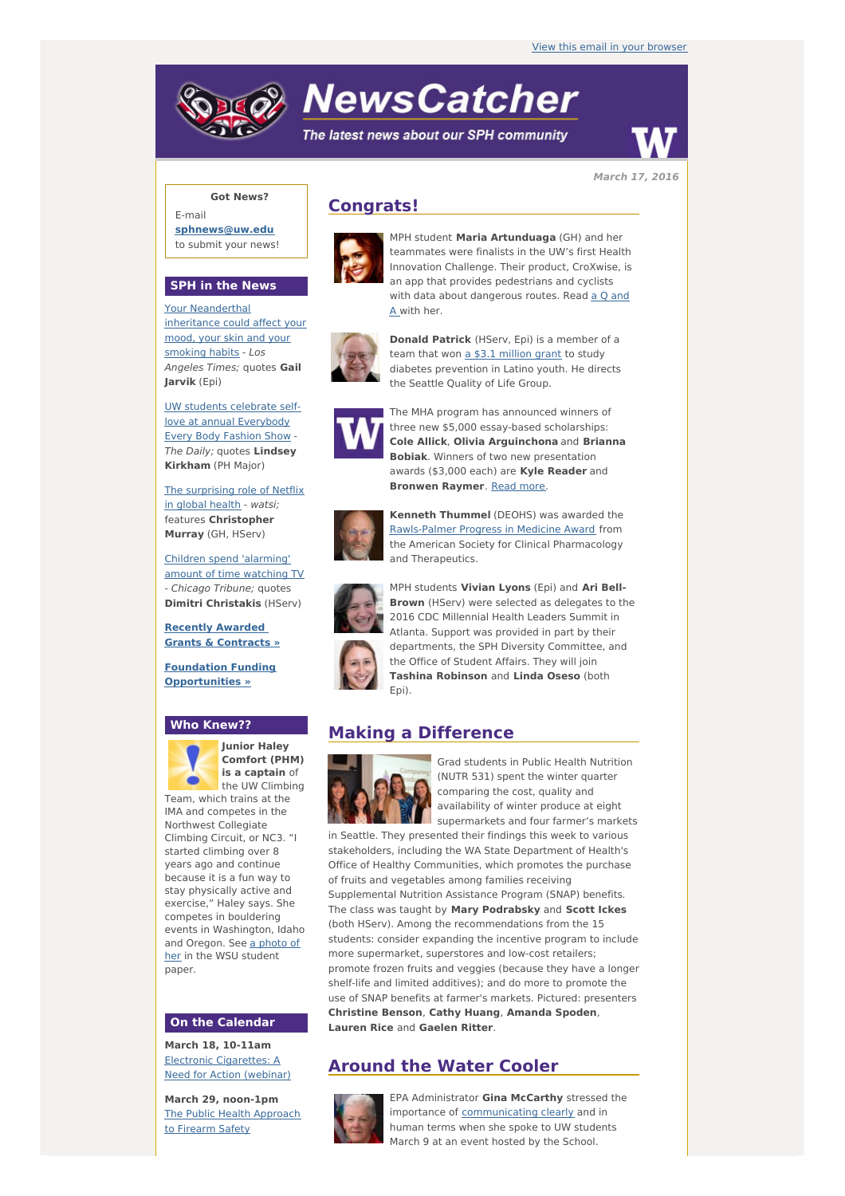# **NewsCatcher**

The latest news about our SPH community



**March 17, 2016**

## **Got News?**

E-mail **[sphnews@uw.edu](mailto:sphnews@uw.edu)** to submit your news!

#### **SPH in the News**

Your [Neanderthal](http://engage.washington.edu/site/R?i=uIdTzgK96IGBVqBm37whIA) inheritance could affect your mood, your skin and your smoking habits - Los Angeles Times; quotes **Gail Jarvik** (Epi)

UW students celebrate selflove at annual [Everybody](http://engage.washington.edu/site/R?i=vM1Cn1e0MLFwhX0BDDQ3vQ) Every Body Fashion Show - The Daily; quotes **Lindsey Kirkham** (PH Major)

The [surprising](http://engage.washington.edu/site/R?i=QW7mSG8P0pO8N8yoEnRaPQ) role of Netflix in global health - watsi; features **Christopher Murray** (GH, HServ)

Children spend ['alarming'](http://engage.washington.edu/site/R?i=zHiZw6kMgQsAhRhs1Ac-mQ) amount of time watching TV - Chicago Tribune; quotes **Dimitri Christakis** (HServ)

**Recently Awarded Grants & [Contracts](http://engage.washington.edu/site/R?i=vGnnYQw6Nwyh4TVJZklZoQ) »**

**Foundation Funding [Opportunities](http://engage.washington.edu/site/R?i=n222DUWsJugnX0QR-Wgtvg) »**

#### **Who Knew??**



**Junior Haley Comfort (PHM) is a captain** of the UW Climbing Team, which trains at the

IMA and competes in the Northwest Collegiate Climbing Circuit, or NC3. "I started climbing over 8 years ago and continue because it is a fun way to stay physically active and exercise," Haley says. She competes in bouldering events in Washington, Idaho and [Oregon.](http://engage.washington.edu/site/R?i=KxyCXfRdQWrv3bQBKSYD1w) See a photo of her in the WSU student paper.

#### **On the Calendar**

**March 18, 10-11am** Electronic [Cigarettes:](http://engage.washington.edu/site/R?i=e3i_ZvrJKV7IrZKFrvpOpQ) A Need for Action (webinar)

**March 29, noon-1pm** The Public Health [Approach](http://engage.washington.edu/site/R?i=aDpbimp_90NpWh_WEx_6Rw) to Firearm Safety

## **Congrats!**



MPH student **Maria Artunduaga** (GH) and her teammates were finalists in the UW's first Health Innovation Challenge. Their product, CroXwise, is an app that provides pedestrians and cyclists with data about [dangerous](http://engage.washington.edu/site/R?i=1xdPZ82cu1QiT8p9HLXbBg) routes. Read a O and A with her.



**Donald Patrick** (HServ, Epi) is a member of a team that won  $a$  \$3.1 [million](http://engage.washington.edu/site/R?i=1ARVIrrFmGBE4liMO9gpCA) grant to study diabetes prevention in Latino youth. He directs the Seattle Quality of Life Group.



The MHA program has announced winners of three new \$5,000 essay-based scholarships: **Cole Allick**, **Olivia Arguinchona** and **Brianna Bobiak**. Winners of two new presentation awards (\$3,000 each) are **Kyle Reader** and **Bronwen Raymer**. [Read](http://engage.washington.edu/site/R?i=A4NV3kek_twMuVDYY9CJaw) more.



**Kenneth Thummel** (DEOHS) was awarded the [Rawls-Palmer](http://engage.washington.edu/site/R?i=ARzK5HujqrMDIBB0Fq9axw) Progress in Medicine Award from the American Society for Clinical Pharmacology and Therapeutics.



MPH students **Vivian Lyons** (Epi) and **Ari Bell-Brown** (HServ) were selected as delegates to the 2016 CDC Millennial Health Leaders Summit in Atlanta. Support was provided in part by their departments, the SPH Diversity Committee, and the Office of Student Affairs. They will join **Tashina Robinson** and **Linda Oseso** (both Epi).

## **Making a Difference**



Grad students in Public Health Nutrition (NUTR 531) spent the winter quarter comparing the cost, quality and availability of winter produce at eight supermarkets and four farmer's markets

in Seattle. They presented their findings this week to various stakeholders, including the WA State Department of Health's Office of Healthy Communities, which promotes the purchase of fruits and vegetables among families receiving Supplemental Nutrition Assistance Program (SNAP) benefits. The class was taught by **Mary Podrabsky** and **Scott Ickes** (both HServ). Among the recommendations from the 15 students: consider expanding the incentive program to include more supermarket, superstores and low-cost retailers; promote frozen fruits and veggies (because they have a longer shelf-life and limited additives); and do more to promote the use of SNAP benefits at farmer's markets. Pictured: presenters **Christine Benson**, **Cathy Huang**, **Amanda Spoden**, **Lauren Rice** and **Gaelen Ritter**.

# **Around the Water Cooler**



EPA Administrator **Gina McCarthy** stressed the importance of **[communicating](http://engage.washington.edu/site/R?i=hm3LWcWF3WtMk6_NgNYB_Q) clearly** and in human terms when she spoke to UW students March 9 at an event hosted by the School.